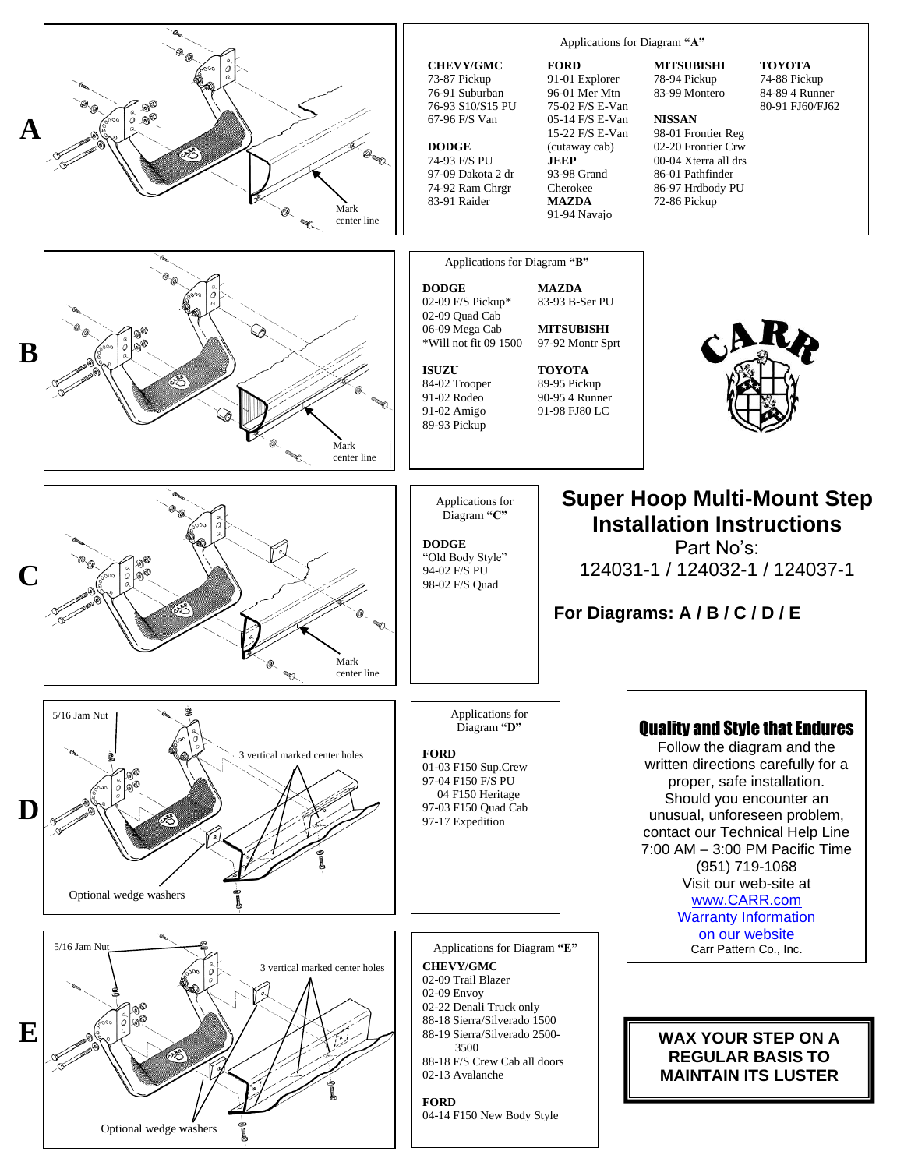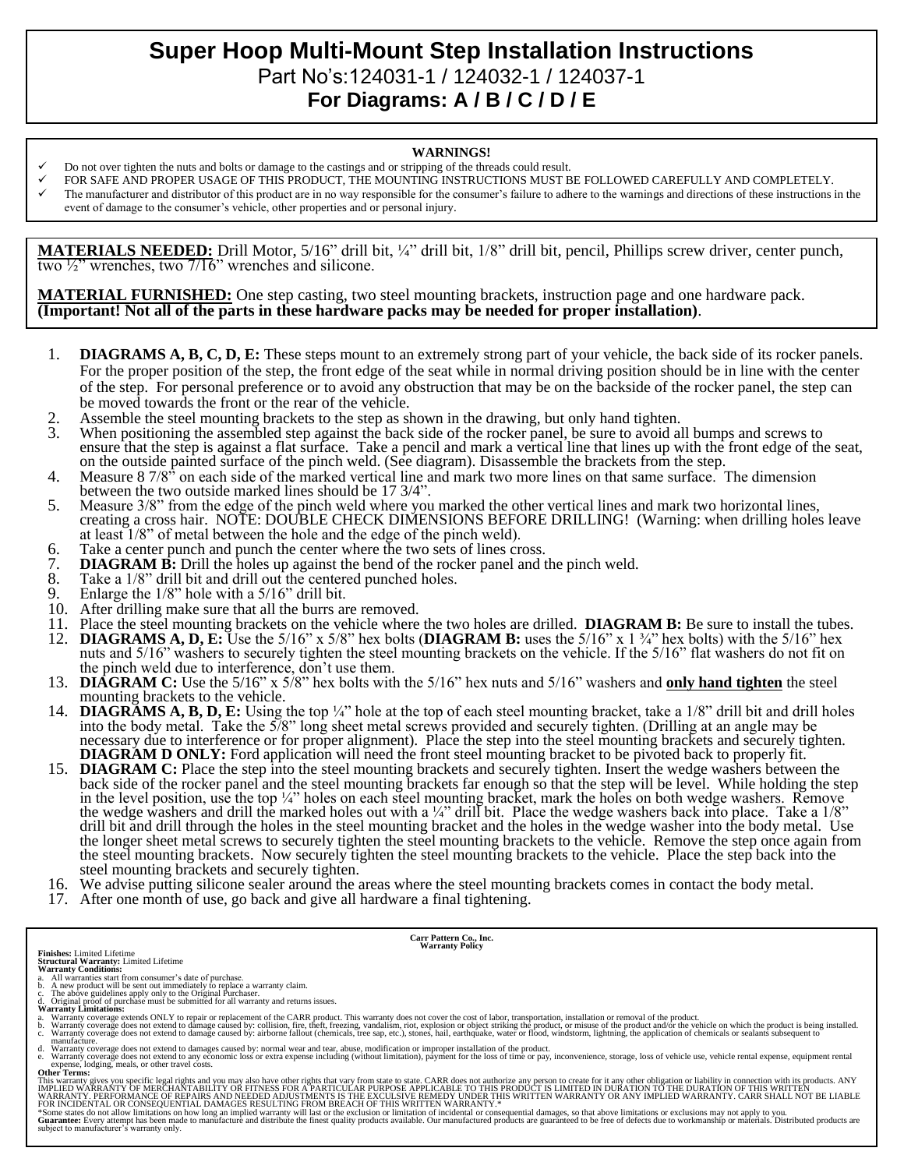## **Super Hoop Multi-Mount Step Installation Instructions**  Part No's:124031-1 / 124032-1 / 124037-1 **For Diagrams: A / B / C / D / E**

## **WARNINGS!**

- Do not over tighten the nuts and bolts or damage to the castings and or stripping of the threads could result.
- FOR SAFE AND PROPER USAGE OF THIS PRODUCT, THE MOUNTING INSTRUCTIONS MUST BE FOLLOWED CAREFULLY AND COMPLETELY.
- The manufacturer and distributor of this product are in no way responsible for the consumer's failure to adhere to the warnings and directions of these instructions in the event of damage to the consumer's vehicle, other properties and or personal injury.

**MATERIALS NEEDED:** Drill Motor, 5/16" drill bit, ¼" drill bit, 1/8" drill bit, pencil, Phillips screw driver, center punch, two  $\frac{1}{2}$ " wrenches, two  $\frac{7}{16}$ " wrenches and silicone.

**MATERIAL FURNISHED:** One step casting, two steel mounting brackets, instruction page and one hardware pack. **(Important! Not all of the parts in these hardware packs may be needed for proper installation)**.

- 1. **DIAGRAMS A, B, C, D, E:** These steps mount to an extremely strong part of your vehicle, the back side of its rocker panels. For the proper position of the step, the front edge of the seat while in normal driving position should be in line with the center of the step. For personal preference or to avoid any obstruction that may be on the backside of the rocker panel, the step can be moved towards the front or the rear of the vehicle.
- 2. Assemble the steel mounting brackets to the step as shown in the drawing, but only hand tighten.<br>3. When positioning the assembled step against the back side of the rocker panel, be sure to avoid a
- When positioning the assembled step against the back side of the rocker panel, be sure to avoid all bumps and screws to ensure that the step is against a flat surface. Take a pencil and mark a vertical line that lines up with the front edge of the seat, on the outside painted surface of the pinch weld. (See diagram). Disassemble the brackets from the step.
- 4. Measure 8 7/8<sup>33</sup> on each side of the marked vertical line and mark two more lines on that same surface. The dimension between the two outside marked lines should be 17 3/4".
- 5. Measure 3/8" from the edge of the pinch weld where you marked the other vertical lines and mark two horizontal lines, creating a cross hair. NOTE: DOUBLE CHECK DIMENSIONS BEFORE DRILLING! (Warning: when drilling holes leave at least 1/8" of metal between the hole and the edge of the pinch weld).
- 6. Take a center punch and punch the center where the two sets of lines cross.<br>7. **DIAGRAM B:** Drill the holes up against the bend of the rocker panel and t
- 7. **DIAGRAM B:** Drill the holes up against the bend of the rocker panel and the pinch weld.<br>8. Take a 1/8" drill bit and drill out the centered punched holes.
- 8. Take a  $1/8$ " drill bit and drill out the centered punched holes.<br>9. Enlarge the  $1/8$ " hole with a  $5/16$ " drill bit.
- Enlarge the  $1/8$ " hole with a  $5/16$ " drill bit.
- 10. After drilling make sure that all the burrs are removed.
- 11. Place the steel mounting brackets on the vehicle where the two holes are drilled. **DIAGRAM B:** Be sure to install the tubes.<br>12. **DIAGRAMS A. D. E:** Use the 5/16" x 5/8" hex bolts (**DIAGRAM B:** uses the 5/16" x 1 <sup>3</sup>/4
- 12. **DIAGRAMS A, D, E:** Use the 5/16" x 5/8" hex bolts (**DIAGRAM B:** uses the 5/16" x 1 ¾" hex bolts) with the 5/16" hex nuts and 5/16" washers to securely tighten the steel mounting brackets on the vehicle. If the 5/16" flat washers do not fit on the pinch weld due to interference, don't use them.
- 13. **DIAGRAM C:** Use the 5/16" x 5/8" hex bolts with the 5/16" hex nuts and 5/16" washers and **only hand tighten** the steel mounting brackets to the vehicle.
- 14. **DIAGRAMS A, B, D, E:** Using the top ¼" hole at the top of each steel mounting bracket, take a 1/8" drill bit and drill holes into the body metal. Take the 5/8" long sheet metal screws provided and securely tighten. (Drilling at an angle may be necessary due to interference or for proper alignment). Place the step into the steel mounting brackets and securely tighten. **DIAGRAM D ONLY:** Ford application will need the front steel mounting bracket to be pivoted back to properly fit.
- 15. **DIAGRAM C:** Place the step into the steel mounting brackets and securely tighten. Insert the wedge washers between the back side of the rocker panel and the steel mounting brackets far enough so that the step will be level. While holding the step in the level position, use the top ¼" holes on each steel mounting bracket, mark the holes on both wedge washers. Remove the wedge washers and drill the marked holes out with a  $\frac{1}{4}$ " drill bit. Place the wedge washers back into place. Take a  $\frac{1}{8}$ " drill bit and drill through the holes in the steel mounting bracket and the holes in the wedge washer into the body metal. Use the longer sheet metal screws to securely tighten the steel mounting brackets to the vehicle. Remove the step once again from the steel mounting brackets. Now securely tighten the steel mounting brackets to the vehicle. Place the step back into the steel mounting brackets and securely tighten.
- 16. We advise putting silicone sealer around the areas where the steel mounting brackets comes in contact the body metal.
- 17. After one month of use, go back and give all hardware a final tightening.

**Carr Pattern Co., Inc. Warranty Policy**

- 
- 
- **Finishes:** Limited Lifetime<br>**Structural Warranty:** Limited Lifetime<br>**Warranty Conditions:**<br>**Warranty Conditions:**<br>b. A new product will be sent out immediately to replace a warranty claim.<br>b. A new product will be sent ou
- 
- a. Warranty coverage extends ONLY to repair or replacement of the CARR product. This warranty does not cover the cost of labor, transportation, installation or removal of the product.<br>b. Warranty coverage does not extend t
- manufacture.<br>
A Warranty coverage does not extend to damages caused by: normal wear and tear, abuse, modification or improper installation of the product.<br>
A Warranty coverage does not extend to any economic loss or extra

**Other Terms:**

This warranty gives you specific legal rights and you may also have other rights that vary from state to state. CARR does not authorize any person to create for it any other obligation or liability in connection with its p

\*Some states do not allow limitations on how long an implied warranty will last or the exclusion or limitation of incidental or consequential damages, so that above limitations or exclusions may not apply to you.<br>Guarantee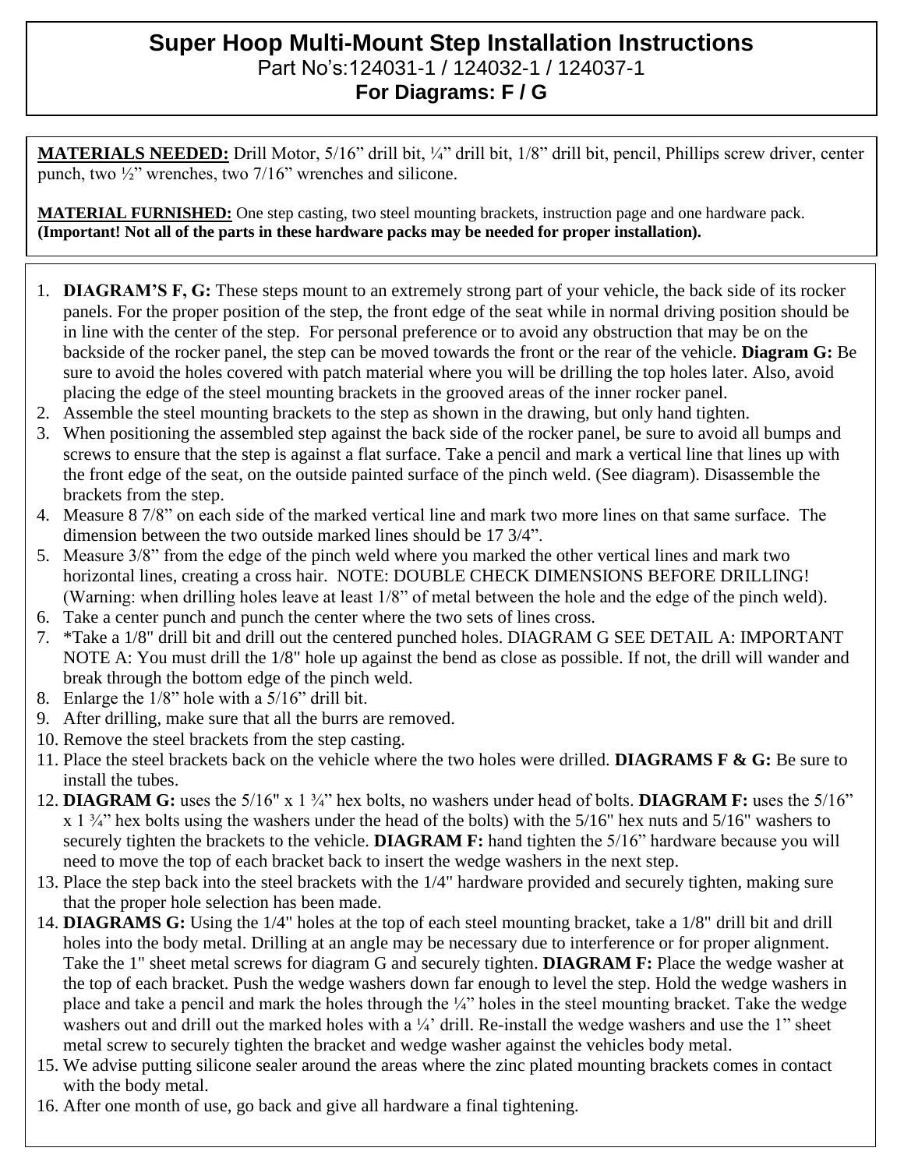## **Super Hoop Multi-Mount Step Installation Instructions**  Part No's:124031-1 / 124032-1 / 124037-1 **For Diagrams: F / G**

**MATERIALS NEEDED:** Drill Motor, 5/16" drill bit, ¼" drill bit, 1/8" drill bit, pencil, Phillips screw driver, center punch, two  $\frac{1}{2}$ " wrenches, two 7/16" wrenches and silicone.

**MATERIAL FURNISHED:** One step casting, two steel mounting brackets, instruction page and one hardware pack. **(Important! Not all of the parts in these hardware packs may be needed for proper installation).**

- 1. **DIAGRAM'S F, G:** These steps mount to an extremely strong part of your vehicle, the back side of its rocker panels. For the proper position of the step, the front edge of the seat while in normal driving position should be in line with the center of the step. For personal preference or to avoid any obstruction that may be on the backside of the rocker panel, the step can be moved towards the front or the rear of the vehicle. **Diagram G:** Be sure to avoid the holes covered with patch material where you will be drilling the top holes later. Also, avoid placing the edge of the steel mounting brackets in the grooved areas of the inner rocker panel.
- 2. Assemble the steel mounting brackets to the step as shown in the drawing, but only hand tighten.
- 3. When positioning the assembled step against the back side of the rocker panel, be sure to avoid all bumps and screws to ensure that the step is against a flat surface. Take a pencil and mark a vertical line that lines up with the front edge of the seat, on the outside painted surface of the pinch weld. (See diagram). Disassemble the brackets from the step.
- 4. Measure 8 7/8" on each side of the marked vertical line and mark two more lines on that same surface. The dimension between the two outside marked lines should be 17 3/4".
- 5. Measure 3/8" from the edge of the pinch weld where you marked the other vertical lines and mark two horizontal lines, creating a cross hair. NOTE: DOUBLE CHECK DIMENSIONS BEFORE DRILLING! (Warning: when drilling holes leave at least 1/8" of metal between the hole and the edge of the pinch weld).
- 6. Take a center punch and punch the center where the two sets of lines cross.
- 7. \*Take a 1/8" drill bit and drill out the centered punched holes. DIAGRAM G SEE DETAIL A: IMPORTANT NOTE A: You must drill the 1/8" hole up against the bend as close as possible. If not, the drill will wander and break through the bottom edge of the pinch weld.
- 8. Enlarge the 1/8" hole with a 5/16" drill bit.
- 9. After drilling, make sure that all the burrs are removed.
- 10. Remove the steel brackets from the step casting.
- 11. Place the steel brackets back on the vehicle where the two holes were drilled. **DIAGRAMS F & G:** Be sure to install the tubes.
- 12. **DIAGRAM G:** uses the 5/16" x 1 ¾" hex bolts, no washers under head of bolts. **DIAGRAM F:** uses the 5/16"  $x$  1  $\frac{3}{4}$ " hex bolts using the washers under the head of the bolts) with the 5/16" hex nuts and 5/16" washers to securely tighten the brackets to the vehicle. **DIAGRAM F:** hand tighten the 5/16" hardware because you will need to move the top of each bracket back to insert the wedge washers in the next step.
- 13. Place the step back into the steel brackets with the 1/4" hardware provided and securely tighten, making sure that the proper hole selection has been made.
- 14. **DIAGRAMS G:** Using the 1/4" holes at the top of each steel mounting bracket, take a 1/8" drill bit and drill holes into the body metal. Drilling at an angle may be necessary due to interference or for proper alignment. Take the 1" sheet metal screws for diagram G and securely tighten. **DIAGRAM F:** Place the wedge washer at the top of each bracket. Push the wedge washers down far enough to level the step. Hold the wedge washers in place and take a pencil and mark the holes through the ¼" holes in the steel mounting bracket. Take the wedge washers out and drill out the marked holes with a <sup>1</sup>/<sub>4</sub>' drill. Re-install the wedge washers and use the 1" sheet metal screw to securely tighten the bracket and wedge washer against the vehicles body metal.
- 15. We advise putting silicone sealer around the areas where the zinc plated mounting brackets comes in contact with the body metal.
- 16. After one month of use, go back and give all hardware a final tightening.